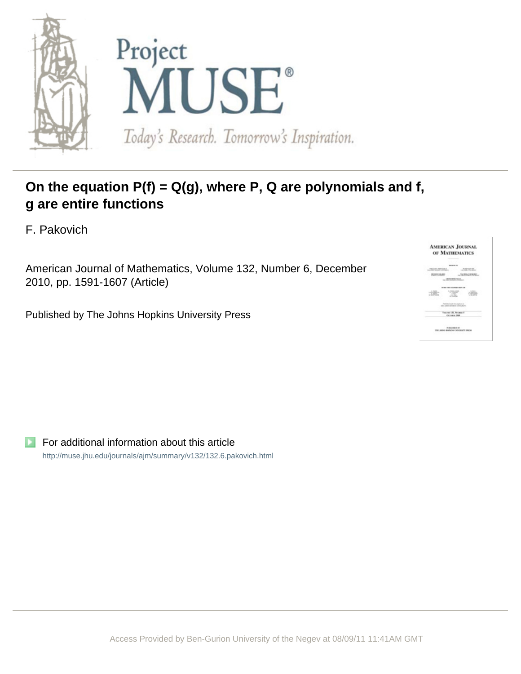

# **On the equation P(f) = Q(g), where P, Q are polynomials and f, g are entire functions**

F. Pakovich

American Journal of Mathematics, Volume 132, Number 6, December 2010, pp. 1591-1607 (Article)

Published by The Johns Hopkins University Press

**AMERICAN JOURNAL** OF MATHEMATICS :词 

For additional information about this article <http://muse.jhu.edu/journals/ajm/summary/v132/132.6.pakovich.html>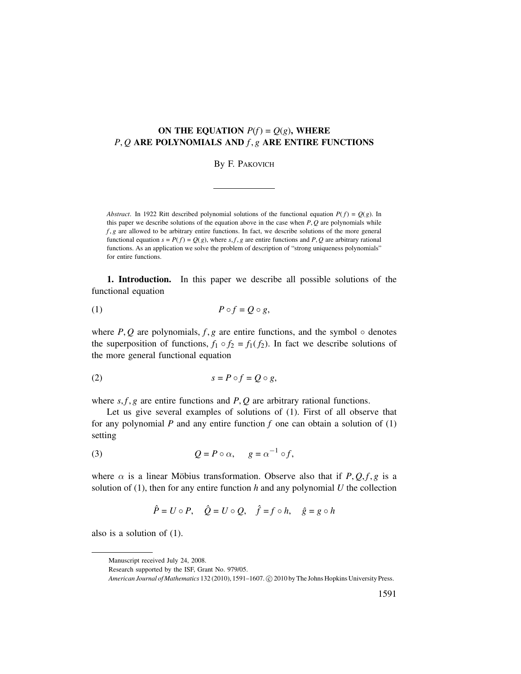# **ON THE EQUATION**  $P(f) = Q(g)$ , WHERE *P*, *Q* **ARE POLYNOMIALS AND** *f* , *g* **ARE ENTIRE FUNCTIONS**

#### By F. PAKOVICH

*Abstract*. In 1922 Ritt described polynomial solutions of the functional equation  $P(f) = Q(g)$ . In this paper we describe solutions of the equation above in the case when *P*, *Q* are polynomials while *f*, *g* are allowed to be arbitrary entire functions. In fact, we describe solutions of the more general functional equation  $s = P(f) = Q(g)$ , where *s*, *f*, *g* are entire functions and *P*, *Q* are arbitrary rational functions. As an application we solve the problem of description of "strong uniqueness polynomials" for entire functions.

**1. Introduction.** In this paper we describe all possible solutions of the functional equation

$$
(1) \tP \circ f = Q \circ g,
$$

where  $P$ ,  $Q$  are polynomials,  $f$ ,  $g$  are entire functions, and the symbol  $\circ$  denotes the superposition of functions,  $f_1 \circ f_2 = f_1(f_2)$ . In fact we describe solutions of the more general functional equation

$$
(2) \t\t\t s = P \circ f = Q \circ g,
$$

where  $s, f, g$  are entire functions and  $P, Q$  are arbitrary rational functions.

Let us give several examples of solutions of (1). First of all observe that for any polynomial *P* and any entire function *f* one can obtain a solution of (1) setting

(3) 
$$
Q = P \circ \alpha, \quad g = \alpha^{-1} \circ f,
$$

where  $\alpha$  is a linear Möbius transformation. Observe also that if  $P$ ,  $Q$ ,  $f$ ,  $g$  is a solution of  $(1)$ , then for any entire function *h* and any polynomial *U* the collection

$$
\hat{P} = U \circ P, \quad \hat{Q} = U \circ Q, \quad \hat{f} = f \circ h, \quad \hat{g} = g \circ h
$$

also is a solution of (1).

Manuscript received July 24, 2008.

Research supported by the ISF, Grant No. 979/05.

American Journal of Mathematics 132 (2010), 1591–1607. © 2010 by The Johns Hopkins University Press.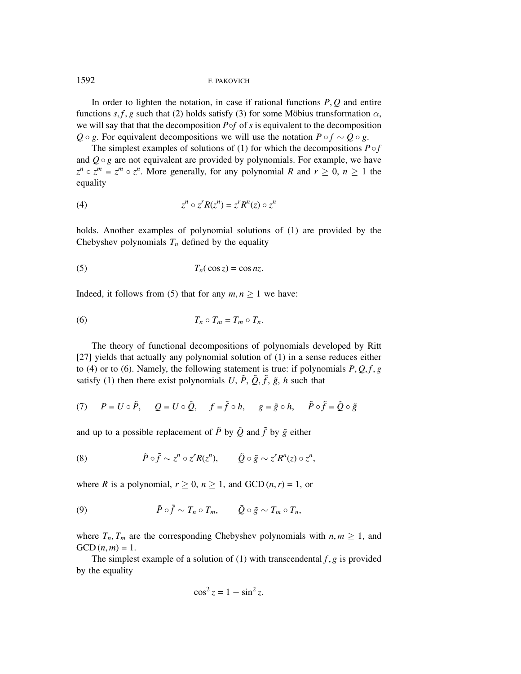In order to lighten the notation, in case if rational functions *P*, *Q* and entire functions  $s, f, g$  such that (2) holds satisfy (3) for some Möbius transformation  $\alpha$ , we will say that that the decomposition *P*◦*f* of *s* is equivalent to the decomposition *Q* ◦ *g*. For equivalent decompositions we will use the notation  $P \circ f \sim Q \circ g$ .

The simplest examples of solutions of (1) for which the decompositions  $P \circ f$ and  $Q \circ g$  are not equivalent are provided by polynomials. For example, we have  $z^n \circ z^m = z^m \circ z^n$ . More generally, for any polynomial *R* and  $r \ge 0$ ,  $n \ge 1$  the equality

$$
(4) \t\t\t zn \circ zr R(zn) = zr Rn(z) \circ zn
$$

holds. Another examples of polynomial solutions of (1) are provided by the Chebyshev polynomials  $T_n$  defined by the equality

$$
(5) \t\t T_n(\cos z) = \cos nz.
$$

Indeed, it follows from (5) that for any  $m, n \ge 1$  we have:

$$
(6) \t\t T_n \circ T_m = T_m \circ T_n.
$$

The theory of functional decompositions of polynomials developed by Ritt [27] yields that actually any polynomial solution of (1) in a sense reduces either to (4) or to (6). Namely, the following statement is true: if polynomials  $P, Q, f, g$ satisfy (1) then there exist polynomials *U*,  $\tilde{P}$ ,  $\tilde{Q}$ ,  $\tilde{f}$ ,  $\tilde{g}$ , *h* such that

(7) 
$$
P = U \circ \tilde{P}
$$
,  $Q = U \circ \tilde{Q}$ ,  $f = \tilde{f} \circ h$ ,  $g = \tilde{g} \circ h$ ,  $\tilde{P} \circ \tilde{f} = \tilde{Q} \circ \tilde{g}$ 

and up to a possible replacement of  $\tilde{P}$  by  $\tilde{Q}$  and  $\tilde{f}$  by  $\tilde{g}$  either

(8) 
$$
\tilde{P} \circ \tilde{f} \sim z^n \circ z^r R(z^n), \qquad \tilde{Q} \circ \tilde{g} \sim z^r R^n(z) \circ z^n,
$$

where *R* is a polynomial,  $r \geq 0$ ,  $n \geq 1$ , and GCD  $(n, r) = 1$ , or

(9) 
$$
\tilde{P} \circ \tilde{f} \sim T_n \circ T_m, \qquad \tilde{Q} \circ \tilde{g} \sim T_m \circ T_n,
$$

where  $T_n$ ,  $T_m$  are the corresponding Chebyshev polynomials with  $n, m \geq 1$ , and  $GCD(n, m) = 1.$ 

The simplest example of a solution of  $(1)$  with transcendental  $f$ ,  $g$  is provided by the equality

$$
\cos^2 z = 1 - \sin^2 z.
$$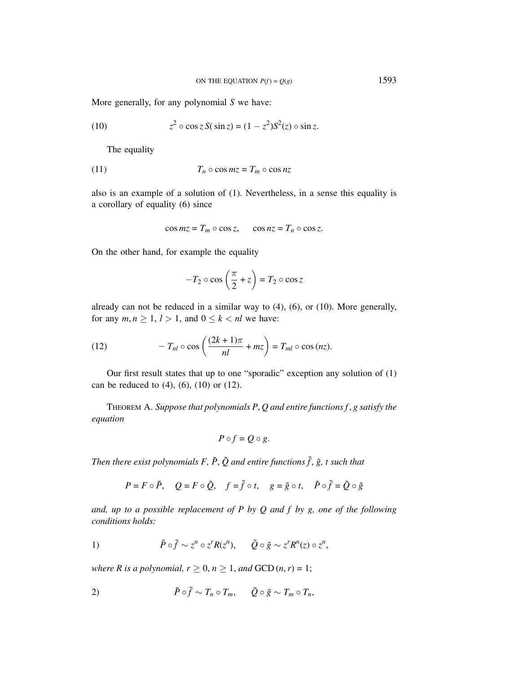More generally, for any polynomial *S* we have:

(10) 
$$
z^2 \circ \cos z S(\sin z) = (1 - z^2) S^2(z) \circ \sin z.
$$

The equality

$$
(11) \t\t T_n \circ \cos mz = T_m \circ \cos nz
$$

also is an example of a solution of (1). Nevertheless, in a sense this equality is a corollary of equality (6) since

$$
\cos mz = T_m \circ \cos z, \quad \cos nz = T_n \circ \cos z.
$$

On the other hand, for example the equality

$$
-T_2 \circ \cos\left(\frac{\pi}{2} + z\right) = T_2 \circ \cos z
$$

already can not be reduced in a similar way to (4), (6), or (10). More generally, for any  $m, n \geq 1, l > 1$ , and  $0 \leq k < n l$  we have:

(12) 
$$
-T_{nl}\circ\cos\left(\frac{(2k+1)\pi}{nl}+m z\right)=T_{ml}\circ\cos\left(n z\right).
$$

Our first result states that up to one "sporadic" exception any solution of (1) can be reduced to  $(4)$ ,  $(6)$ ,  $(10)$  or  $(12)$ .

THEOREM A. *Suppose that polynomials P*, *Q and entire functions f* , *g satisfy the equation*

$$
P\circ f=Q\circ g.
$$

*Then there exist polynomials F,*  $\tilde{P}$ *,*  $\tilde{Q}$  *and entire functions*  $\tilde{f}$ *,*  $\tilde{g}$ *, t such that* 

$$
P = F \circ \tilde{P}, \quad Q = F \circ \tilde{Q}, \quad f = \tilde{f} \circ t, \quad g = \tilde{g} \circ t, \quad \tilde{P} \circ \tilde{f} = \tilde{Q} \circ \tilde{g}
$$

*and, up to a possible replacement of P by Q and f by g, one of the following conditions holds:*

1) 
$$
\tilde{P} \circ \tilde{f} \sim z^n \circ z^r R(z^n), \qquad \tilde{Q} \circ \tilde{g} \sim z^r R^n(z) \circ z^n,
$$

*where R is a polynomial,*  $r \geq 0$ *,*  $n \geq 1$ *, and GCD*  $(n, r) = 1$ *;* 

$$
\tilde{P} \circ \tilde{f} \sim T_n \circ T_m, \quad \tilde{Q} \circ \tilde{g} \sim T_m \circ T_n,
$$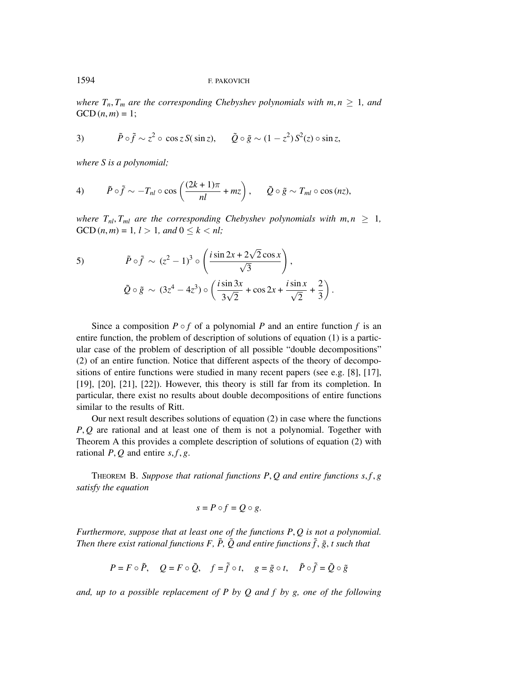*where*  $T_n$ ,  $T_m$  *are the corresponding Chebyshev polynomials with*  $m, n \geq 1$ *, and*  $GCD(n, m) = 1$ ;

3) 
$$
\tilde{P} \circ \tilde{f} \sim z^2 \circ \cos z \, S(\sin z), \qquad \tilde{Q} \circ \tilde{g} \sim (1 - z^2) \, S^2(z) \circ \sin z,
$$

*where S is a polynomial;*

4) 
$$
\tilde{P} \circ \tilde{f} \sim -T_{nl} \circ \cos\left(\frac{(2k+1)\pi}{nl} + mz\right), \quad \tilde{Q} \circ \tilde{g} \sim T_{ml} \circ \cos(nz),
$$

*where*  $T_{nl}$ ,  $T_{ml}$  *are the corresponding Chebyshev polynomials with*  $m, n \geq 1$ , GCD  $(n, m) = 1, l > 1, and 0 \le k < nl;$ 

5) 
$$
\tilde{P} \circ \tilde{f} \sim (z^2 - 1)^3 \circ \left(\frac{i \sin 2x + 2\sqrt{2} \cos x}{\sqrt{3}}\right),
$$

$$
\tilde{Q} \circ \tilde{g} \sim (3z^4 - 4z^3) \circ \left(\frac{i \sin 3x}{3\sqrt{2}} + \cos 2x + \frac{i \sin x}{\sqrt{2}} + \frac{2}{3}\right).
$$

Since a composition  $P \circ f$  of a polynomial  $P$  and an entire function  $f$  is an entire function, the problem of description of solutions of equation (1) is a particular case of the problem of description of all possible "double decompositions" (2) of an entire function. Notice that different aspects of the theory of decompositions of entire functions were studied in many recent papers (see e.g. [8], [17], [19], [20], [21], [22]). However, this theory is still far from its completion. In particular, there exist no results about double decompositions of entire functions similar to the results of Ritt.

Our next result describes solutions of equation (2) in case where the functions *P*, *Q* are rational and at least one of them is not a polynomial. Together with Theorem A this provides a complete description of solutions of equation (2) with rational  $P$ ,  $Q$  and entire  $s$ ,  $f$ ,  $g$ .

THEOREM B. Suppose that rational functions  $P, Q$  and entire functions  $s, f, g$ *satisfy the equation*

$$
s = P \circ f = Q \circ g.
$$

*Furthermore, suppose that at least one of the functions P*, *Q is not a polynomial. Then there exist rational functions F,*  $\tilde{P}$ *,*  $\tilde{Q}$  *and entire functions*  $\tilde{f}$ *,*  $\tilde{g}$ *, t such that* 

$$
P = F \circ \tilde{P}, \quad Q = F \circ \tilde{Q}, \quad f = \tilde{f} \circ t, \quad g = \tilde{g} \circ t, \quad \tilde{P} \circ \tilde{f} = \tilde{Q} \circ \tilde{g}
$$

*and, up to a possible replacement of P by Q and f by g, one of the following*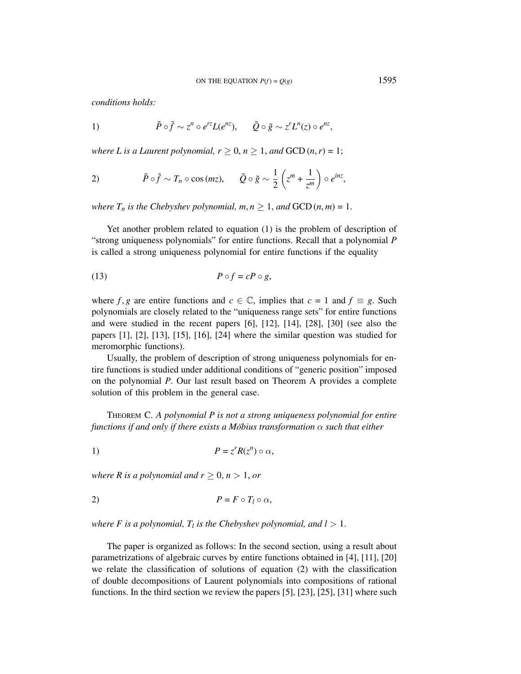*conditions holds:*

1) 
$$
\tilde{P} \circ \tilde{f} \sim z^n \circ e^{rz} L(e^{nz}), \qquad \tilde{Q} \circ \tilde{g} \sim z^r L^n(z) \circ e^{nz},
$$

*where L is a Laurent polynomial,*  $r \geq 0$ *,*  $n \geq 1$ *, and*  $GCD(n, r) = 1$ *;* 

2) 
$$
\tilde{P} \circ \tilde{f} \sim T_n \circ \cos(mz), \qquad \tilde{Q} \circ \tilde{g} \sim \frac{1}{2} \left( z^m + \frac{1}{z^m} \right) \circ e^{inz},
$$

*where*  $T_n$  *is the Chebyshev polynomial,*  $m, n \geq 1$ *, and GCD*  $(n, m) = 1$ .

Yet another problem related to equation (1) is the problem of description of "strong uniqueness polynomials" for entire functions. Recall that a polynomial *P* is called a strong uniqueness polynomial for entire functions if the equality

$$
(13) \t\t P \circ f = cP \circ g,
$$

where *f*, *g* are entire functions and  $c \in \mathbb{C}$ , implies that  $c = 1$  and  $f \equiv g$ . Such polynomials are closely related to the "uniqueness range sets" for entire functions and were studied in the recent papers [6], [12], [14], [28], [30] (see also the papers [1], [2], [13], [15], [16], [24] where the similar question was studied for meromorphic functions).

Usually, the problem of description of strong uniqueness polynomials for entire functions is studied under additional conditions of "generic position" imposed on the polynomial *P*. Our last result based on Theorem A provides a complete solution of this problem in the general case.

THEOREM C. *A polynomial P is not a strong uniqueness polynomial for entire functions if and only if there exists a Möbius transformation*  $\alpha$  *such that either* 

$$
P = z^r R(z^n) \circ \alpha,
$$

*where R is a polynomial and*  $r \geq 0$ *,*  $n > 1$ *, or* 

$$
P = F \circ T_l \circ \alpha,
$$

*where F is a polynomial,*  $T_l$  *is the Chebyshev polynomial, and l > 1.* 

The paper is organized as follows: In the second section, using a result about parametrizations of algebraic curves by entire functions obtained in [4], [11], [20] we relate the classification of solutions of equation (2) with the classification of double decompositions of Laurent polynomials into compositions of rational functions. In the third section we review the papers [5], [23], [25], [31] where such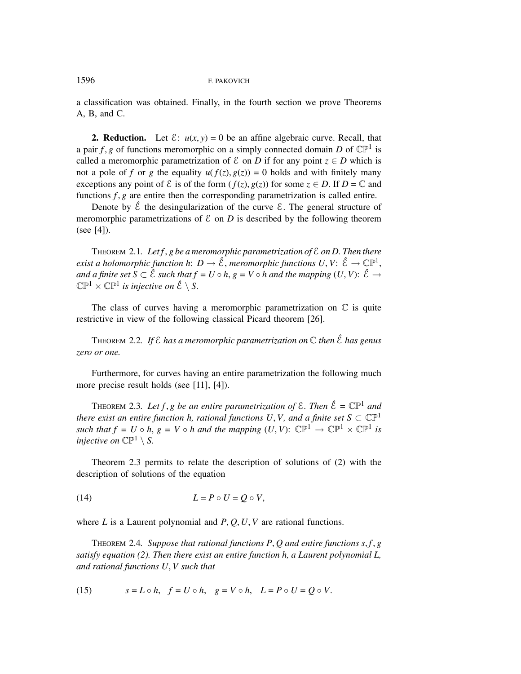a classification was obtained. Finally, in the fourth section we prove Theorems A, B, and C.

**2. Reduction.** Let  $\mathcal{E}: u(x, y) = 0$  be an affine algebraic curve. Recall, that a pair *f*, *g* of functions meromorphic on a simply connected domain *D* of  $\mathbb{CP}^1$  is called a meromorphic parametrization of  $\mathcal{E}$  on *D* if for any point  $z \in D$  which is not a pole of *f* or *g* the equality  $u(f(z), g(z)) = 0$  holds and with finitely many exceptions any point of  $\mathcal E$  is of the form ( $f(z)$ ,  $g(z)$ ) for some  $z \in D$ . If  $D = \mathbb C$  and functions  $f, g$  are entire then the corresponding parametrization is called entire.

Denote by  $\hat{\mathcal{E}}$  the desingularization of the curve  $\mathcal{E}$ . The general structure of meromorphic parametrizations of  $\mathcal E$  on  $D$  is described by the following theorem (see [4]).

THEOREM 2.1*. Let f* , *g be a meromorphic parametrization of* E *on D. Then there exist a holomorphic function h*:  $D \to \hat{\mathcal{E}}$ , *meromorphic functions U*,  $V: \hat{\mathcal{E}} \to \mathbb{CP}^1$ , *and a finite set*  $S \subset \hat{\mathcal{E}}$  *such that*  $f = U \circ h$ ,  $g = V \circ h$  *and the mapping*  $(U, V)$ :  $\hat{\mathcal{E}} \to$  $\mathbb{CP}^1 \times \mathbb{CP}^1$  *is injective on*  $\hat{\mathcal{E}} \setminus S$ .

The class of curves having a meromorphic parametrization on  $\mathbb C$  is quite restrictive in view of the following classical Picard theorem [26].

THEOREM 2.2*. If* E *has a meromorphic parametrization on* C *then* E*ˆ has genus zero or one.*

Furthermore, for curves having an entire parametrization the following much more precise result holds (see [11], [4]).

THEOREM 2.3*. Let*  $f, g$  *be an entire parametrization of*  $\mathcal{E}$ *. Then*  $\hat{\mathcal{E}} = \mathbb{CP}^1$  *and there exist an entire function h, rational functions U, V, and a finite set*  $S \subset \mathbb{CP}^1$ *such that f* = *U*  $\circ$  *h*, *g* = *V*  $\circ$  *h and the mapping*  $(U, V)$ :  $\mathbb{CP}^1 \rightarrow \mathbb{CP}^1 \times \mathbb{CP}^1$  *is injective on*  $\mathbb{CP}^1 \setminus S$ .

Theorem 2.3 permits to relate the description of solutions of (2) with the description of solutions of the equation

$$
(14) \tL = P \circ U = Q \circ V,
$$

where *L* is a Laurent polynomial and *P*, *Q*, *U*, *V* are rational functions.

THEOREM 2.4*. Suppose that rational functions P*, *Q and entire functions s*, *f* , *g satisfy equation (2). Then there exist an entire function h, a Laurent polynomial L, and rational functions U*, *V such that*

(15) 
$$
s = L \circ h, \quad f = U \circ h, \quad g = V \circ h, \quad L = P \circ U = Q \circ V.
$$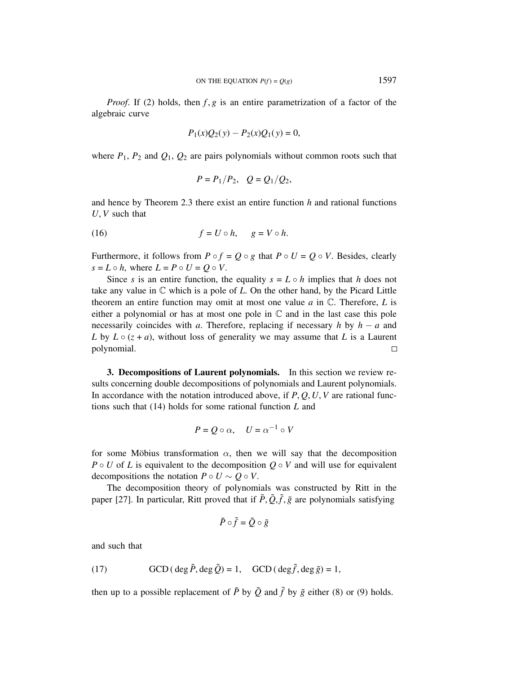*Proof.* If (2) holds, then *f*, *g* is an entire parametrization of a factor of the algebraic curve

$$
P_1(x)Q_2(y) - P_2(x)Q_1(y) = 0,
$$

where  $P_1$ ,  $P_2$  and  $Q_1$ ,  $Q_2$  are pairs polynomials without common roots such that

$$
P = P_1/P_2
$$
,  $Q = Q_1/Q_2$ ,

and hence by Theorem 2.3 there exist an entire function *h* and rational functions *U*, *V* such that

$$
(16) \t\t f = U \circ h, \t g = V \circ h.
$$

Furthermore, it follows from  $P \circ f = Q \circ g$  that  $P \circ U = Q \circ V$ . Besides, clearly  $s = L \circ h$ , where  $L = P \circ U = Q \circ V$ .

Since *s* is an entire function, the equality  $s = L \circ h$  implies that *h* does not take any value in  $\mathbb C$  which is a pole of  $L$ . On the other hand, by the Picard Little theorem an entire function may omit at most one value *a* in C. Therefore, *L* is either a polynomial or has at most one pole in  $\mathbb C$  and in the last case this pole necessarily coincides with *a*. Therefore, replacing if necessary *h* by  $h - a$  and *L* by  $L \circ (z + a)$ , without loss of generality we may assume that *L* is a Laurent polynomial.  $\Box$ 

**3. Decompositions of Laurent polynomials.** In this section we review results concerning double decompositions of polynomials and Laurent polynomials. In accordance with the notation introduced above, if  $P$ ,  $Q$ ,  $U$ ,  $V$  are rational functions such that (14) holds for some rational function *L* and

$$
P = Q \circ \alpha, \quad U = \alpha^{-1} \circ V
$$

for some Möbius transformation  $\alpha$ , then we will say that the decomposition  $P \circ U$  of *L* is equivalent to the decomposition  $Q \circ V$  and will use for equivalent decompositions the notation  $P \circ U \sim Q \circ V$ .

The decomposition theory of polynomials was constructed by Ritt in the paper [27]. In particular, Ritt proved that if  $\tilde{P}, \tilde{Q}, \tilde{f}, \tilde{g}$  are polynomials satisfying

$$
\tilde{P}\circ \tilde{f}=\tilde{Q}\circ \tilde{g}
$$

and such that

(17) 
$$
\text{GCD}(\deg \tilde{P}, \deg \tilde{Q}) = 1, \quad \text{GCD}(\deg \tilde{f}, \deg \tilde{g}) = 1,
$$

then up to a possible replacement of  $\tilde{P}$  by  $\tilde{Q}$  and  $\tilde{f}$  by  $\tilde{g}$  either (8) or (9) holds.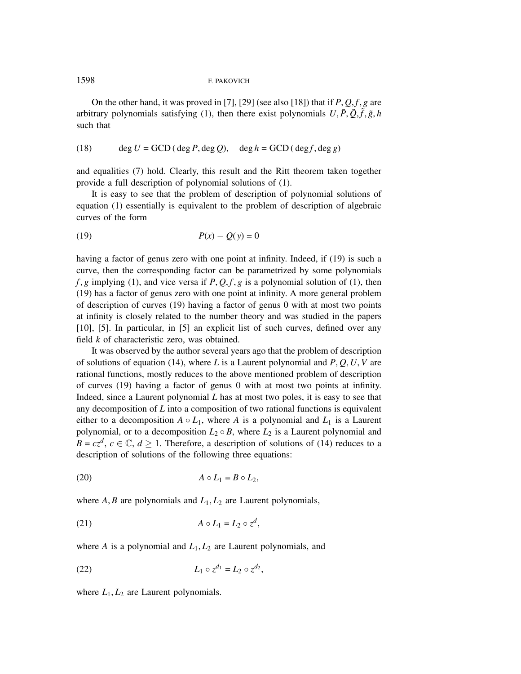On the other hand, it was proved in [7], [29] (see also [18]) that if  $P$ ,  $Q$ ,  $f$ ,  $g$  are arbitrary polynomials satisfying (1), then there exist polynomials  $U, \tilde{P}, \tilde{Q}, \tilde{f}, \tilde{g}, h$ such that

(18) 
$$
\deg U = \text{GCD}(\deg P, \deg Q), \quad \deg h = \text{GCD}(\deg f, \deg g)
$$

and equalities (7) hold. Clearly, this result and the Ritt theorem taken together provide a full description of polynomial solutions of (1).

It is easy to see that the problem of description of polynomial solutions of equation (1) essentially is equivalent to the problem of description of algebraic curves of the form

$$
(19) \qquad \qquad P(x) - Q(y) = 0
$$

having a factor of genus zero with one point at infinity. Indeed, if (19) is such a curve, then the corresponding factor can be parametrized by some polynomials  $f$ ,  $g$  implying (1), and vice versa if  $P$ ,  $Q$ ,  $f$ ,  $g$  is a polynomial solution of (1), then (19) has a factor of genus zero with one point at infinity. A more general problem of description of curves (19) having a factor of genus 0 with at most two points at infinity is closely related to the number theory and was studied in the papers [10], [5]. In particular, in [5] an explicit list of such curves, defined over any field *k* of characteristic zero, was obtained.

It was observed by the author several years ago that the problem of description of solutions of equation (14), where *L* is a Laurent polynomial and *P*, *Q*, *U*, *V* are rational functions, mostly reduces to the above mentioned problem of description of curves (19) having a factor of genus 0 with at most two points at infinity. Indeed, since a Laurent polynomial *L* has at most two poles, it is easy to see that any decomposition of *L* into a composition of two rational functions is equivalent either to a decomposition  $A \circ L_1$ , where  $A$  is a polynomial and  $L_1$  is a Laurent polynomial, or to a decomposition  $L_2 \circ B$ , where  $L_2$  is a Laurent polynomial and  $B = c z<sup>d</sup>$ ,  $c \in \mathbb{C}$ ,  $d \ge 1$ . Therefore, a description of solutions of (14) reduces to a description of solutions of the following three equations:

$$
(20) \t\t\t A \circ L_1 = B \circ L_2,
$$

where  $A, B$  are polynomials and  $L_1, L_2$  are Laurent polynomials,

$$
(21) \t\t A \circ L_1 = L_2 \circ z^d,
$$

where  $A$  is a polynomial and  $L_1, L_2$  are Laurent polynomials, and

(22) 
$$
L_1 \circ z^{d_1} = L_2 \circ z^{d_2},
$$

where  $L_1, L_2$  are Laurent polynomials.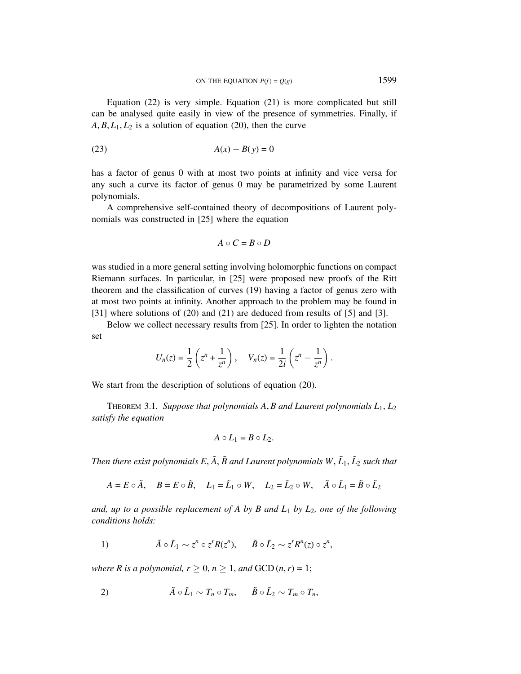Equation (22) is very simple. Equation (21) is more complicated but still can be analysed quite easily in view of the presence of symmetries. Finally, if  $A, B, L_1, L_2$  is a solution of equation (20), then the curve

$$
(23) \qquad \qquad A(x) - B(y) = 0
$$

has a factor of genus 0 with at most two points at infinity and vice versa for any such a curve its factor of genus 0 may be parametrized by some Laurent polynomials.

A comprehensive self-contained theory of decompositions of Laurent polynomials was constructed in [25] where the equation

$$
A \circ C = B \circ D
$$

was studied in a more general setting involving holomorphic functions on compact Riemann surfaces. In particular, in [25] were proposed new proofs of the Ritt theorem and the classification of curves (19) having a factor of genus zero with at most two points at infinity. Another approach to the problem may be found in [31] where solutions of (20) and (21) are deduced from results of [5] and [3].

Below we collect necessary results from [25]. In order to lighten the notation set

$$
U_n(z) = \frac{1}{2} \left( z^n + \frac{1}{z^n} \right), \quad V_n(z) = \frac{1}{2i} \left( z^n - \frac{1}{z^n} \right).
$$

We start from the description of solutions of equation (20).

THEOREM 3.1. Suppose that polynomials  $A$ ,  $B$  and Laurent polynomials  $L_1$ ,  $L_2$ *satisfy the equation*

$$
A\circ L_1=B\circ L_2.
$$

*Then there exist polynomials E,*  $\tilde{A}$ *,*  $\tilde{B}$  *and Laurent polynomials W,*  $\tilde{L}_1$ *,*  $\tilde{L}_2$  *such that* 

 $A = E \circ \tilde{A}$ ,  $B = E \circ \tilde{B}$ ,  $L_1 = \tilde{L}_1 \circ W$ ,  $L_2 = \tilde{L}_2 \circ W$ ,  $\tilde{A} \circ \tilde{L}_1 = \tilde{B} \circ \tilde{L}_2$ 

*and, up to a possible replacement of A by B and L*<sup>1</sup> *by L*2*, one of the following conditions holds:*

1) 
$$
\tilde{A} \circ \tilde{L}_1 \sim z^n \circ z^r R(z^n), \qquad \tilde{B} \circ \tilde{L}_2 \sim z^r R^n(z) \circ z^n,
$$

*where R is a polynomial,*  $r \geq 0$ *,*  $n \geq 1$ *, and GCD*  $(n, r) = 1$ *;* 

$$
\tilde{A}\circ \tilde{L}_1\sim T_n\circ T_m, \quad \tilde{B}\circ \tilde{L}_2\sim T_m\circ T_n,
$$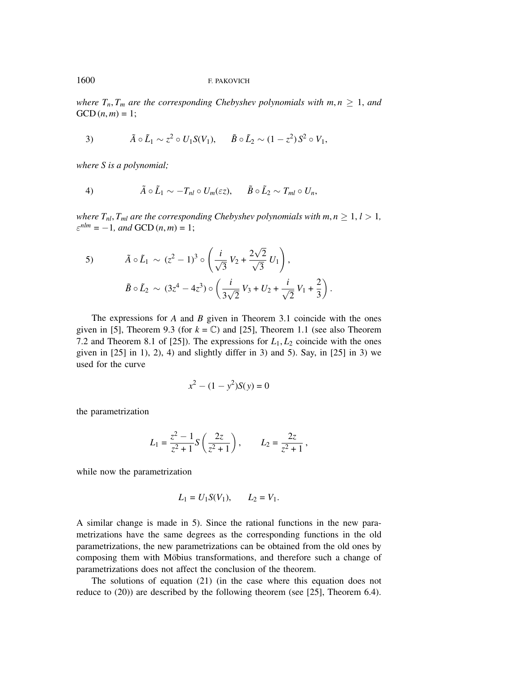*where*  $T_n$ ,  $T_m$  *are the corresponding Chebyshev polynomials with*  $m, n \geq 1$ , *and*  $GCD(n, m) = 1;$ 

3) 
$$
\tilde{A} \circ \tilde{L}_1 \sim z^2 \circ U_1 S(V_1), \quad \tilde{B} \circ \tilde{L}_2 \sim (1-z^2) S^2 \circ V_1,
$$

*where S is a polynomial;*

4) 
$$
\tilde{A} \circ \tilde{L}_1 \sim -T_{nl} \circ U_m(\varepsilon z), \quad \tilde{B} \circ \tilde{L}_2 \sim T_{ml} \circ U_n,
$$

*where*  $T_{nl}$ ,  $T_{ml}$  *are the corresponding Chebyshev polynomials with*  $m, n \geq 1, l > 1$ ,  $\varepsilon^{nlm} = -1$ , and GCD  $(n, m) = 1$ ;

5) 
$$
\tilde{A} \circ \tilde{L}_1 \sim (z^2 - 1)^3 \circ \left(\frac{i}{\sqrt{3}}V_2 + \frac{2\sqrt{2}}{\sqrt{3}}U_1\right),
$$
  
\n $\tilde{B} \circ \tilde{L}_2 \sim (3z^4 - 4z^3) \circ \left(\frac{i}{3\sqrt{2}}V_3 + U_2 + \frac{i}{\sqrt{2}}V_1 + \frac{2}{3}\right).$ 

The expressions for *A* and *B* given in Theorem 3.1 coincide with the ones given in [5], Theorem 9.3 (for  $k = \mathbb{C}$ ) and [25], Theorem 1.1 (see also Theorem 7.2 and Theorem 8.1 of [25]). The expressions for  $L_1, L_2$  coincide with the ones given in  $[25]$  in 1), 2), 4) and slightly differ in 3) and 5). Say, in  $[25]$  in 3) we used for the curve

$$
x^2 - (1 - y^2)S(y) = 0
$$

the parametrization

$$
L_1 = \frac{z^2 - 1}{z^2 + 1} S\left(\frac{2z}{z^2 + 1}\right), \qquad L_2 = \frac{2z}{z^2 + 1},
$$

while now the parametrization

$$
L_1 = U_1 S(V_1), \t L_2 = V_1.
$$

A similar change is made in 5). Since the rational functions in the new parametrizations have the same degrees as the corresponding functions in the old parametrizations, the new parametrizations can be obtained from the old ones by composing them with Möbius transformations, and therefore such a change of parametrizations does not affect the conclusion of the theorem.

The solutions of equation (21) (in the case where this equation does not reduce to (20)) are described by the following theorem (see [25], Theorem 6.4).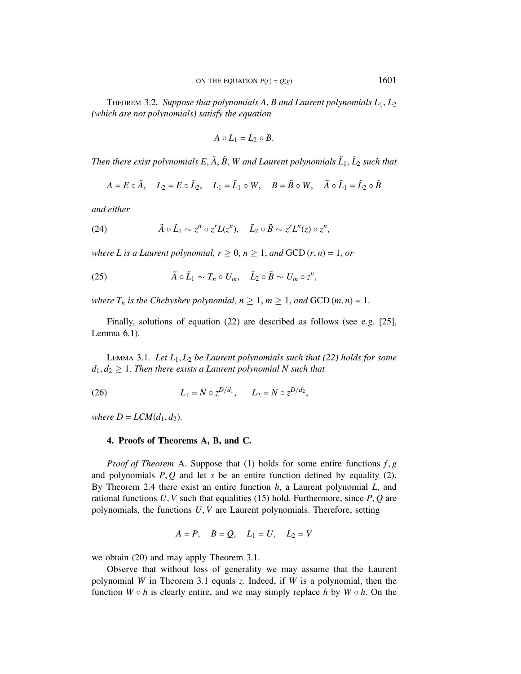THEOREM 3.2*. Suppose that polynomials A*, *B and Laurent polynomials L*1, *L*<sup>2</sup> *(which are not polynomials) satisfy the equation*

$$
A\circ L_1=L_2\circ B.
$$

*Then there exist polynomials*  $E$ ,  $\tilde{A}$ ,  $\tilde{B}$ ,  $W$  and Laurent polynomials  $\tilde{L}_1$ ,  $\tilde{L}_2$  such that

$$
A = E \circ \tilde{A}, \quad L_2 = E \circ \tilde{L}_2, \quad L_1 = \tilde{L}_1 \circ W, \quad B = \tilde{B} \circ W, \quad \tilde{A} \circ \tilde{L}_1 = \tilde{L}_2 \circ \tilde{B}
$$

*and either*

(24) 
$$
\tilde{A} \circ \tilde{L}_1 \sim z^n \circ z^r L(z^n), \quad \tilde{L}_2 \circ \tilde{B} \sim z^r L^n(z) \circ z^n,
$$

*where L is a Laurent polynomial,*  $r \geq 0$ *,*  $n \geq 1$ *, and*  $GCD(r, n) = 1$ *, or* 

(25) 
$$
\tilde{A} \circ \tilde{L}_1 \sim T_n \circ U_m, \quad \tilde{L}_2 \circ \tilde{B} \sim U_m \circ z^n,
$$

*where*  $T_n$  *is the Chebyshev polynomial,*  $n \geq 1, m \geq 1,$  *and* GCD  $(m, n) = 1$ .

Finally, solutions of equation (22) are described as follows (see e.g. [25], Lemma 6.1).

LEMMA 3.1*. Let L*1, *L*<sup>2</sup> *be Laurent polynomials such that (22) holds for some*  $d_1, d_2 \geq 1$ . *Then there exists a Laurent polynomial N such that* 

(26) 
$$
L_1 = N \circ z^{D/d_1}, \qquad L_2 = N \circ z^{D/d_2},
$$

*where*  $D = LCM(d_1, d_2)$ .

#### **4. Proofs of Theorems A, B, and C.**

*Proof of Theorem* A. Suppose that (1) holds for some entire functions  $f, g$ and polynomials *P*, *Q* and let *s* be an entire function defined by equality (2). By Theorem 2.4 there exist an entire function *h*, a Laurent polynomial *L*, and rational functions  $U, V$  such that equalities (15) hold. Furthermore, since  $P, Q$  are polynomials, the functions *U*, *V* are Laurent polynomials. Therefore, setting

$$
A = P, \quad B = Q, \quad L_1 = U, \quad L_2 = V
$$

we obtain (20) and may apply Theorem 3.1.

Observe that without loss of generality we may assume that the Laurent polynomial *W* in Theorem 3.1 equals *z*. Indeed, if *W* is a polynomial, then the function  $W \circ h$  is clearly entire, and we may simply replace  $h$  by  $W \circ h$ . On the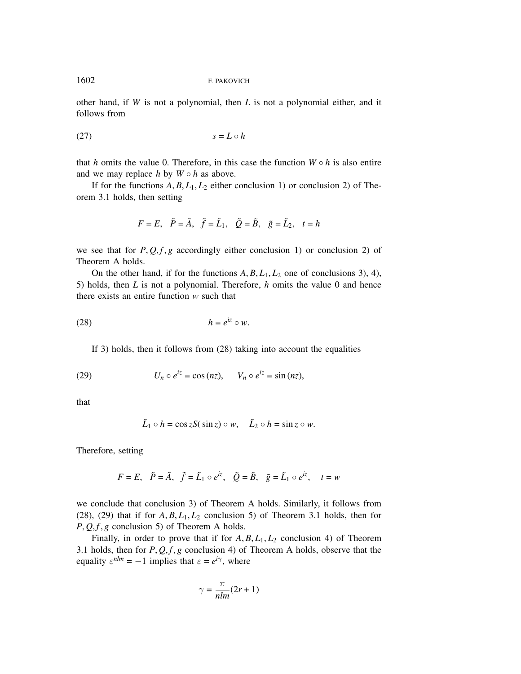other hand, if *W* is not a polynomial, then *L* is not a polynomial either, and it follows from

$$
(27) \t\t\t s = L \circ h
$$

that *h* omits the value 0. Therefore, in this case the function  $W \circ h$  is also entire and we may replace  $h$  by  $W \circ h$  as above.

If for the functions  $A, B, L_1, L_2$  either conclusion 1) or conclusion 2) of Theorem 3.1 holds, then setting

$$
F = E
$$
,  $\tilde{P} = \tilde{A}$ ,  $\tilde{f} = \tilde{L}_1$ ,  $\tilde{Q} = \tilde{B}$ ,  $\tilde{g} = \tilde{L}_2$ ,  $t = h$ 

we see that for  $P$ ,  $Q$ ,  $f$ ,  $g$  accordingly either conclusion 1) or conclusion 2) of Theorem A holds.

On the other hand, if for the functions  $A, B, L_1, L_2$  one of conclusions 3), 4), 5) holds, then *L* is not a polynomial. Therefore, *h* omits the value 0 and hence there exists an entire function *w* such that

$$
(28) \t\t\t h = e^{iz} \circ w.
$$

If 3) holds, then it follows from (28) taking into account the equalities

(29) 
$$
U_n \circ e^{iz} = \cos (nz), \qquad V_n \circ e^{iz} = \sin (nz),
$$

that

$$
\tilde{L}_1 \circ h = \cos z S(\sin z) \circ w, \quad \tilde{L}_2 \circ h = \sin z \circ w.
$$

Therefore, setting

$$
F = E
$$
,  $\tilde{P} = \tilde{A}$ ,  $\tilde{f} = \tilde{L}_1 \circ e^{iz}$ ,  $\tilde{Q} = \tilde{B}$ ,  $\tilde{g} = \tilde{L}_1 \circ e^{iz}$ ,  $t = w$ 

we conclude that conclusion 3) of Theorem A holds. Similarly, it follows from (28), (29) that if for  $A, B, L_1, L_2$  conclusion 5) of Theorem 3.1 holds, then for  $P, Q, f, g$  conclusion 5) of Theorem A holds.

Finally, in order to prove that if for  $A, B, L_1, L_2$  conclusion 4) of Theorem 3.1 holds, then for  $P$ ,  $Q$ ,  $f$ ,  $g$  conclusion 4) of Theorem A holds, observe that the equality  $\varepsilon^{nlm} = -1$  implies that  $\varepsilon = e^{i\gamma}$ , where

$$
\gamma = \frac{\pi}{nlm}(2r+1)
$$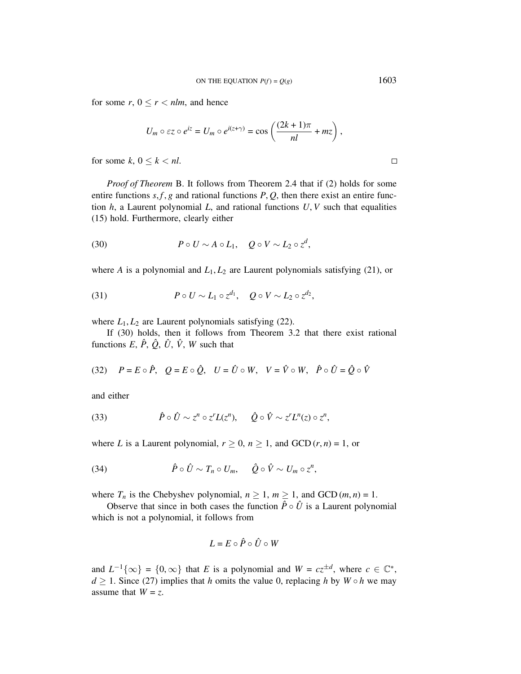for some  $r, 0 \le r < n \, \text{l m}$ , and hence

$$
U_m \circ \varepsilon z \circ e^{iz} = U_m \circ e^{i(z+\gamma)} = \cos\left(\frac{(2k+1)\pi}{nl} + mz\right),
$$

for some  $k, 0 \leq k < nl$ .

*Proof of Theorem* B. It follows from Theorem 2.4 that if (2) holds for some entire functions  $s$ ,  $f$ ,  $g$  and rational functions  $P$ ,  $Q$ , then there exist an entire function  $h$ , a Laurent polynomial  $L$ , and rational functions  $U, V$  such that equalities (15) hold. Furthermore, clearly either

(30) 
$$
P \circ U \sim A \circ L_1, \quad Q \circ V \sim L_2 \circ z^d,
$$

where *A* is a polynomial and  $L_1, L_2$  are Laurent polynomials satisfying (21), or

(31) 
$$
P \circ U \sim L_1 \circ z^{d_1}, \quad Q \circ V \sim L_2 \circ z^{d_2},
$$

where  $L_1, L_2$  are Laurent polynomials satisfying (22).

If (30) holds, then it follows from Theorem 3.2 that there exist rational functions  $E, \hat{P}, \hat{Q}, \hat{U}, \hat{V}, W$  such that

(32) 
$$
P = E \circ \hat{P}
$$
,  $Q = E \circ \hat{Q}$ ,  $U = \hat{U} \circ W$ ,  $V = \hat{V} \circ W$ ,  $\hat{P} \circ \hat{U} = \hat{Q} \circ \hat{V}$ 

and either

(33) 
$$
\hat{P} \circ \hat{U} \sim z^n \circ z^r L(z^n), \quad \hat{Q} \circ \hat{V} \sim z^r L^n(z) \circ z^n,
$$

where *L* is a Laurent polynomial,  $r \geq 0$ ,  $n \geq 1$ , and GCD  $(r, n) = 1$ , or

(34) 
$$
\hat{P} \circ \hat{U} \sim T_n \circ U_m, \quad \hat{Q} \circ \hat{V} \sim U_m \circ z^n,
$$

where  $T_n$  is the Chebyshev polynomial,  $n \geq 1$ ,  $m \geq 1$ , and GCD  $(m, n) = 1$ .

Observe that since in both cases the function  $\hat{P} \circ \hat{U}$  is a Laurent polynomial which is not a polynomial, it follows from

$$
L=E\circ\hat{P}\circ\hat{U}\circ W
$$

and  $L^{-1}{\{\infty\}} = {0, \infty}$  that *E* is a polynomial and  $W = cz^{\pm d}$ , where  $c \in \mathbb{C}^*$ , *d*  $\geq$  1. Since (27) implies that *h* omits the value 0, replacing *h* by *W* ◦ *h* we may assume that  $W = z$ .

 $\Box$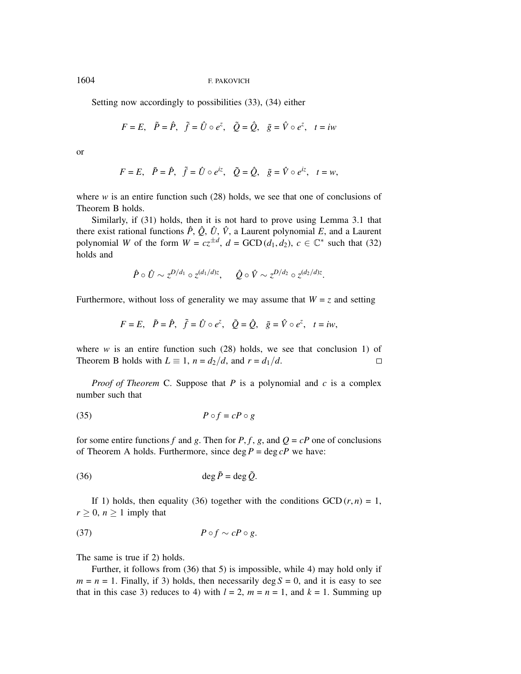Setting now accordingly to possibilities (33), (34) either

$$
F = E
$$
,  $\tilde{P} = \hat{P}$ ,  $\tilde{f} = \hat{U} \circ e^z$ ,  $\tilde{Q} = \hat{Q}$ ,  $\tilde{g} = \hat{V} \circ e^z$ ,  $t = iw$ 

or

$$
F = E
$$
,  $\tilde{P} = \hat{P}$ ,  $\tilde{f} = \hat{U} \circ e^{iz}$ ,  $\tilde{Q} = \hat{Q}$ ,  $\tilde{g} = \hat{V} \circ e^{iz}$ ,  $t = w$ ,

where  $w$  is an entire function such  $(28)$  holds, we see that one of conclusions of Theorem B holds.

Similarly, if (31) holds, then it is not hard to prove using Lemma 3.1 that there exist rational functions  $\hat{P}$ ,  $\hat{Q}$ ,  $\hat{U}$ ,  $\hat{V}$ , a Laurent polynomial *E*, and a Laurent polynomial *W* of the form  $W = cz^{\pm d}$ ,  $d = GCD(d_1, d_2)$ ,  $c \in \mathbb{C}^*$  such that (32) holds and

$$
\hat{P} \circ \hat{U} \sim z^{D/d_1} \circ z^{(d_1/d)z}, \quad \hat{Q} \circ \hat{V} \sim z^{D/d_2} \circ z^{(d_2/d)z}.
$$

Furthermore, without loss of generality we may assume that  $W = z$  and setting

$$
F=E, \quad \tilde{P}=\hat{P}, \quad \tilde{f}=\hat{U}\circ e^z, \quad \tilde{Q}=\hat{Q}, \quad \tilde{g}=\hat{V}\circ e^z, \quad t=iw,
$$

where  $w$  is an entire function such  $(28)$  holds, we see that conclusion 1) of Theorem B holds with  $L \equiv 1$ ,  $n = d_2/d$ , and  $r = d_1/d$ .  $\Box$ 

*Proof of Theorem* C. Suppose that *P* is a polynomial and *c* is a complex number such that

$$
(35) \t\t P \circ f = cP \circ g
$$

for some entire functions *f* and *g*. Then for *P*, *f*, *g*, and  $Q = cP$  one of conclusions of Theorem A holds. Furthermore, since  $\deg P = \deg cP$  we have:

$$
\deg \tilde{P} = \deg \tilde{Q}.
$$

If 1) holds, then equality (36) together with the conditions  $GCD(r, n) = 1$ ,  $r \geq 0$ ,  $n \geq 1$  imply that

$$
(37) \t\t P \circ f \sim cP \circ g.
$$

The same is true if 2) holds.

Further, it follows from (36) that 5) is impossible, while 4) may hold only if  $m = n = 1$ . Finally, if 3) holds, then necessarily deg  $S = 0$ , and it is easy to see that in this case 3) reduces to 4) with  $l = 2$ ,  $m = n = 1$ , and  $k = 1$ . Summing up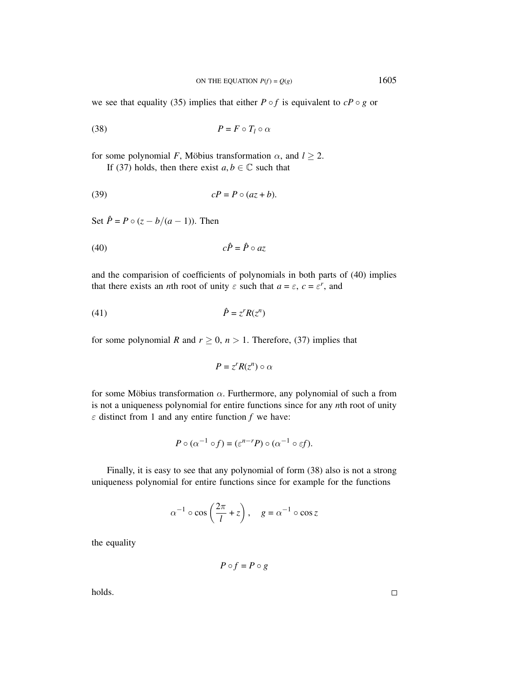we see that equality (35) implies that either  $P \circ f$  is equivalent to  $cP \circ g$  or

$$
(38) \t\t\t P = F \circ T_l \circ \alpha
$$

for some polynomial *F*, Möbius transformation  $\alpha$ , and  $l \geq 2$ . If (37) holds, then there exist  $a, b \in \mathbb{C}$  such that

$$
(39) \t\t\t\t cP = P \circ (az + b).
$$

Set  $\hat{P} = P \circ (z - b/(a - 1))$ . Then

$$
(40) \t\t c\hat{P} = \hat{P} \circ az
$$

and the comparision of coefficients of polynomials in both parts of (40) implies that there exists an *n*th root of unity  $\varepsilon$  such that  $a = \varepsilon$ ,  $c = \varepsilon^r$ , and

$$
\hat{P} = z^r R(z^n)
$$

for some polynomial *R* and  $r \geq 0$ ,  $n > 1$ . Therefore, (37) implies that

$$
P=z^rR(z^n)\circ\alpha
$$

for some Möbius transformation  $\alpha$ . Furthermore, any polynomial of such a from is not a uniqueness polynomial for entire functions since for any *n*th root of unity  $\varepsilon$  distinct from 1 and any entire function  $f$  we have:

$$
P \circ (\alpha^{-1} \circ f) = (\varepsilon^{n-r} P) \circ (\alpha^{-1} \circ \varepsilon f).
$$

Finally, it is easy to see that any polynomial of form (38) also is not a strong uniqueness polynomial for entire functions since for example for the functions

$$
\alpha^{-1} \circ \cos\left(\frac{2\pi}{l} + z\right), \quad g = \alpha^{-1} \circ \cos z
$$

the equality

$$
P\circ f=P\circ g
$$

holds.

 $\Box$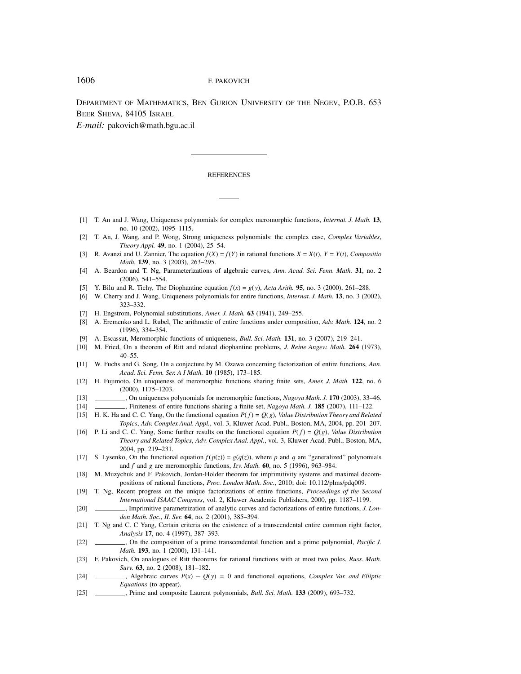DEPARTMENT OF MATHEMATICS, BEN GURION UNIVERSITY OF THE NEGEV, P.O.B. 653 BEER SHEVA, 84105 ISRAEL

*E-mail:* pakovich@math.bgu.ac.il

#### **REFERENCES**

- [1] T. An and J. Wang, Uniqueness polynomials for complex meromorphic functions, *Internat. J. Math.* **13**, no. 10 (2002), 1095–1115.
- [2] T. An, J. Wang, and P. Wong, Strong uniqueness polynomials: the complex case, *Complex Variables*, *Theory Appl.* **49**, no. 1 (2004), 25–54.
- [3] R. Avanzi and U. Zannier, The equation  $f(X) = f(Y)$  in rational functions  $X = X(t)$ ,  $Y = Y(t)$ , *Compositio Math.* **139**, no. 3 (2003), 263–295.
- [4] A. Beardon and T. Ng, Parameterizations of algebraic curves, *Ann. Acad. Sci. Fenn. Math.* **31**, no. 2 (2006), 541–554.
- [5] Y. Bilu and R. Tichy, The Diophantine equation  $f(x) = g(y)$ , *Acta Arith.* **95**, no. 3 (2000), 261–288.
- [6] W. Cherry and J. Wang, Uniqueness polynomials for entire functions, *Internat. J. Math.* **13**, no. 3 (2002), 323–332.
- [7] H. Engstrom, Polynomial substitutions, *Amer. J. Math.* **63** (1941), 249–255.
- [8] A. Eremenko and L. Rubel, The arithmetic of entire functions under composition, *Adv. Math.* **124**, no. 2 (1996), 334–354.
- [9] A. Escassut, Meromorphic functions of uniqueness, *Bull. Sci. Math.* **131**, no. 3 (2007), 219–241.
- [10] M. Fried, On a theorem of Ritt and related diophantine problems, *J. Reine Angew. Math.* **264** (1973),  $40 - 55$ .
- [11] W. Fuchs and G. Song, On a conjecture by M. Ozawa concerning factorization of entire functions, *Ann. Acad. Sci. Fenn. Ser. A I Math.* **10** (1985), 173–185.
- [12] H. Fujimoto, On uniqueness of meromorphic functions sharing finite sets, *Amer. J. Math.* **122**, no. 6 (2000), 1175–1203.

[13] , On uniqueness polynomials for meromorphic functions, *Nagoya Math. J.* **170** (2003), 33–46.

- [14] , Finiteness of entire functions sharing a finite set, *Nagoya Math. J.* **185** (2007), 111–122.
- [15] H. K. Ha and C. C. Yang, On the functional equation *P*( *f*) = *Q*(*g*), *Value Distribution Theory and Related Topics*, *Adv. Complex Anal. Appl.*, vol. 3, Kluwer Acad. Publ., Boston, MA, 2004, pp. 201–207.
- [16] P. Li and C. C. Yang, Some further results on the functional equation  $P(f) = Q(g)$ , *Value Distribution Theory and Related Topics*, *Adv. Complex Anal. Appl.*, vol. 3, Kluwer Acad. Publ., Boston, MA, 2004, pp. 219–231.
- [17] S. Lysenko, On the functional equation  $f(p(z)) = g(q(z))$ , where p and q are "generalized" polynomials and *f* and *g* are meromorphic functions, *Izv. Math.* **60**, no. 5 (1996), 963–984.
- [18] M. Muzychuk and F. Pakovich, Jordan-Holder theorem for imprimitivity systems and maximal decompositions of rational functions, *Proc. London Math. Soc.*, 2010; doi: 10.112/plms/pdq009.
- [19] T. Ng, Recent progress on the unique factorizations of entire functions, *Proceedings of the Second International ISAAC Congress*, vol. 2, Kluwer Academic Publishers, 2000, pp. 1187–1199.
- [20] , Imprimitive parametrization of analytic curves and factorizations of entire functions, *J. London Math. Soc., II. Ser.* **64**, no. 2 (2001), 385–394.
- [21] T. Ng and C. C Yang, Certain criteria on the existence of a transcendental entire common right factor, *Analysis* **17**, no. 4 (1997), 387–393.
- [22] , On the composition of a prime transcendental function and a prime polynomial, *Pacific J. Math.* **193**, no. 1 (2000), 131–141.
- [23] F. Pakovich, On analogues of Ritt theorems for rational functions with at most two poles, *Russ. Math. Surv.* **63**, no. 2 (2008), 181–182.
- [24] , Algebraic curves *P*(*x*) − *Q*( *y*) = 0 and functional equations, *Complex Var. and Elliptic Equations* (to appear).
- [25] , Prime and composite Laurent polynomials, *Bull. Sci. Math.* **133** (2009), 693–732.